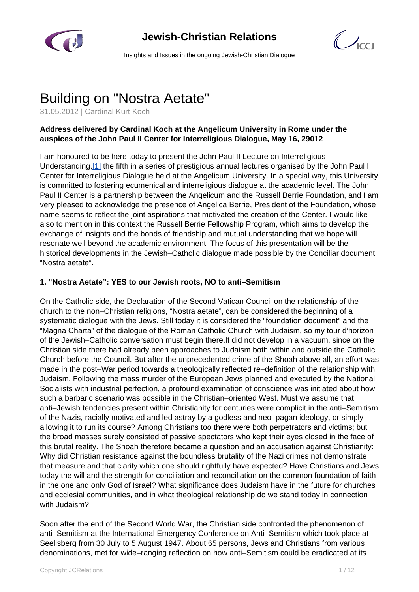

# **Jewish-Christian Relations**



Insights and Issues in the ongoing Jewish-Christian Dialogue

# Building on "Nostra Aetate"

31.05.2012 | Cardinal Kurt Koch

# **Address delivered by Cardinal Koch at the Angelicum University in Rome under the auspices of the John Paul II Center for Interreligious Dialogue, May 16, 29012**

I am honoured to be here today to present the John Paul II Lecture on Interreligious Understanding,[1] the fifth in a series of prestigious annual lectures organised by the John Paul II Center for Interreligious Dialogue held at the Angelicum University. In a special way, this University is committed to fostering ecumenical and interreligious dialogue at the academic level. The John Paul II Center is a partnership between the Angelicum and the Russell Berrie Foundation, and I am very pleased to acknowledge the presence of Angelica Berrie, President of the Foundation, whose name seems to reflect the joint aspirations that motivated the creation of the Center. I would like also to mention in this context the Russell Berrie Fellowship Program, which aims to develop the exchange of insights and the bonds of friendship and mutual understanding that we hope will resonate well beyond the academic environment. The focus of this presentation will be the historical developments in the Jewish–Catholic dialogue made possible by the Conciliar document "Nostra aetate".

#### **1. "Nostra Aetate": YES to our Jewish roots, NO to anti–Semitism**

On the Catholic side, the Declaration of the Second Vatican Council on the relationship of the church to the non–Christian religions, "Nostra aetate", can be considered the beginning of a systematic dialogue with the Jews. Still today it is considered the "foundation document" and the "Magna Charta" of the dialogue of the Roman Catholic Church with Judaism, so my tour d'horizon of the Jewish–Catholic conversation must begin there.It did not develop in a vacuum, since on the Christian side there had already been approaches to Judaism both within and outside the Catholic Church before the Council. But after the unprecedented crime of the Shoah above all, an effort was made in the post–War period towards a theologically reflected re–definition of the relationship with Judaism. Following the mass murder of the European Jews planned and executed by the National Socialists with industrial perfection, a profound examination of conscience was initiated about how such a barbaric scenario was possible in the Christian–oriented West. Must we assume that anti–Jewish tendencies present within Christianity for centuries were complicit in the anti–Semitism of the Nazis, racially motivated and led astray by a godless and neo–pagan ideology, or simply allowing it to run its course? Among Christians too there were both perpetrators and victims; but the broad masses surely consisted of passive spectators who kept their eyes closed in the face of this brutal reality. The Shoah therefore became a question and an accusation against Christianity: Why did Christian resistance against the boundless brutality of the Nazi crimes not demonstrate that measure and that clarity which one should rightfully have expected? Have Christians and Jews today the will and the strength for conciliation and reconciliation on the common foundation of faith in the one and only God of Israel? What significance does Judaism have in the future for churches and ecclesial communities, and in what theological relationship do we stand today in connection with Judaism?

Soon after the end of the Second World War, the Christian side confronted the phenomenon of anti–Semitism at the International Emergency Conference on Anti–Semitism which took place at Seelisberg from 30 July to 5 August 1947. About 65 persons, Jews and Christians from various denominations, met for wide–ranging reflection on how anti–Semitism could be eradicated at its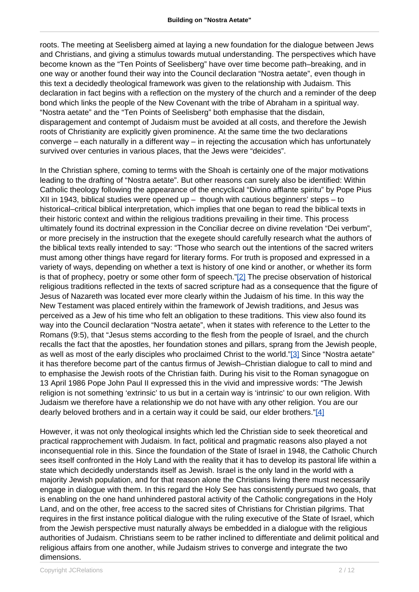roots. The meeting at Seelisberg aimed at laying a new foundation for the dialogue between Jews and Christians, and giving a stimulus towards mutual understanding. The perspectives which have become known as the "Ten Points of Seelisberg" have over time become path–breaking, and in one way or another found their way into the Council declaration "Nostra aetate", even though in this text a decidedly theological framework was given to the relationship with Judaism. This declaration in fact begins with a reflection on the mystery of the church and a reminder of the deep bond which links the people of the New Covenant with the tribe of Abraham in a spiritual way. "Nostra aetate" and the "Ten Points of Seelisberg" both emphasise that the disdain, disparagement and contempt of Judaism must be avoided at all costs, and therefore the Jewish roots of Christianity are explicitly given prominence. At the same time the two declarations converge – each naturally in a different way – in rejecting the accusation which has unfortunately survived over centuries in various places, that the Jews were "deicides".

In the Christian sphere, coming to terms with the Shoah is certainly one of the major motivations leading to the drafting of "Nostra aetate". But other reasons can surely also be identified: Within Catholic theology following the appearance of the encyclical "Divino afflante spiritu" by Pope Pius XII in 1943, biblical studies were opened up  $-$  though with cautious beginners' steps  $-$  to historical–critical biblical interpretation, which implies that one began to read the biblical texts in their historic context and within the religious traditions prevailing in their time. This process ultimately found its doctrinal expression in the Conciliar decree on divine revelation "Dei verbum", or more precisely in the instruction that the exegete should carefully research what the authors of the biblical texts really intended to say: "Those who search out the intentions of the sacred writers must among other things have regard for literary forms. For truth is proposed and expressed in a variety of ways, depending on whether a text is history of one kind or another, or whether its form is that of prophecy, poetry or some other form of speech."[2] The precise observation of historical religious traditions reflected in the texts of sacred scripture had as a consequence that the figure of Jesus of Nazareth was located ever more clearly within the Judaism of his time. In this way the New Testament was placed entirely within the framework of Jewish traditions, and Jesus was perceived as a Jew of his time who felt an obligation to these traditions. This view also found its way into the Council declaration "Nostra aetate", when it states with reference to the Letter to the Romans (9:5), that "Jesus stems according to the flesh from the people of Israel, and the church recalls the fact that the apostles, her foundation stones and pillars, sprang from the Jewish people, as well as most of the early disciples who proclaimed Christ to the world."[3] Since "Nostra aetate" it has therefore become part of the cantus firmus of Jewish–Christian dialogue to call to mind and to emphasise the Jewish roots of the Christian faith. During his visit to the Roman synagogue on 13 April 1986 Pope John Paul II expressed this in the vivid and impressive words: "The Jewish religion is not something 'extrinsic' to us but in a certain way is 'intrinsic' to our own religion. With Judaism we therefore have a relationship we do not have with any other religion. You are our dearly beloved brothers and in a certain way it could be said, our elder brothers." $[4]$ 

However, it was not only theological insights which led the Christian side to seek theoretical and practical rapprochement with Judaism. In fact, political and pragmatic reasons also played a not inconsequential role in this. Since the foundation of the State of Israel in 1948, the Catholic Church sees itself confronted in the Holy Land with the reality that it has to develop its pastoral life within a state which decidedly understands itself as Jewish. Israel is the only land in the world with a majority Jewish population, and for that reason alone the Christians living there must necessarily engage in dialogue with them. In this regard the Holy See has consistently pursued two goals, that is enabling on the one hand unhindered pastoral activity of the Catholic congregations in the Holy Land, and on the other, free access to the sacred sites of Christians for Christian pilgrims. That requires in the first instance political dialogue with the ruling executive of the State of Israel, which from the Jewish perspective must naturally always be embedded in a dialogue with the religious authorities of Judaism. Christians seem to be rather inclined to differentiate and delimit political and religious affairs from one another, while Judaism strives to converge and integrate the two dimensions.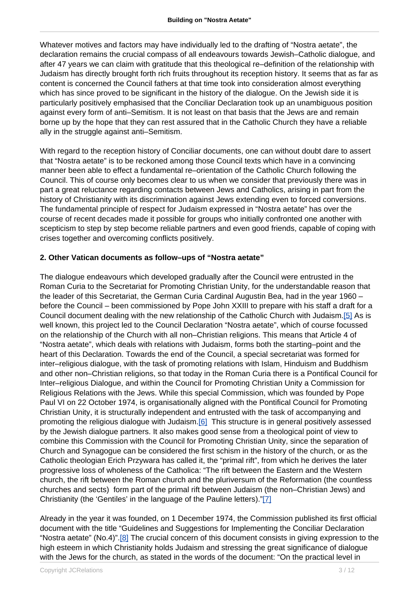Whatever motives and factors may have individually led to the drafting of "Nostra aetate", the declaration remains the crucial compass of all endeavours towards Jewish–Catholic dialogue, and after 47 years we can claim with gratitude that this theological re–definition of the relationship with Judaism has directly brought forth rich fruits throughout its reception history. It seems that as far as content is concerned the Council fathers at that time took into consideration almost everything which has since proved to be significant in the history of the dialogue. On the Jewish side it is particularly positively emphasised that the Conciliar Declaration took up an unambiguous position against every form of anti–Semitism. It is not least on that basis that the Jews are and remain borne up by the hope that they can rest assured that in the Catholic Church they have a reliable ally in the struggle against anti–Semitism.

With regard to the reception history of Conciliar documents, one can without doubt dare to assert that "Nostra aetate" is to be reckoned among those Council texts which have in a convincing manner been able to effect a fundamental re–orientation of the Catholic Church following the Council. This of course only becomes clear to us when we consider that previously there was in part a great reluctance regarding contacts between Jews and Catholics, arising in part from the history of Christianity with its discrimination against Jews extending even to forced conversions. The fundamental principle of respect for Judaism expressed in "Nostra aetate" has over the course of recent decades made it possible for groups who initially confronted one another with scepticism to step by step become reliable partners and even good friends, capable of coping with crises together and overcoming conflicts positively.

#### **2. Other Vatican documents as follow–ups of "Nostra aetate"**

The dialogue endeavours which developed gradually after the Council were entrusted in the Roman Curia to the Secretariat for Promoting Christian Unity, for the understandable reason that the leader of this Secretariat, the German Curia Cardinal Augustin Bea, had in the year 1960 – before the Council – been commissioned by Pope John XXIII to prepare with his staff a draft for a Council document dealing with the new relationship of the Catholic Church with Judaism.[5] As is well known, this project led to the Council Declaration "Nostra aetate", which of course focussed on the relationship of the Church with all non–Christian religions. This means that Article 4 of "Nostra aetate", which deals with relations with Judaism, forms both the starting–point and the heart of this Declaration. Towards the end of the Council, a special secretariat was formed for inter–religious dialogue, with the task of promoting relations with Islam, Hinduism and Buddhism and other non–Christian religions, so that today in the Roman Curia there is a Pontifical Council for Inter–religious Dialogue, and within the Council for Promoting Christian Unity a Commission for Religious Relations with the Jews. While this special Commission, which was founded by Pope Paul VI on 22 October 1974, is organisationally aligned with the Pontifical Council for Promoting Christian Unity, it is structurally independent and entrusted with the task of accompanying and promoting the religious dialogue with Judaism.[6] This structure is in general positively assessed by the Jewish dialogue partners. It also makes good sense from a theological point of view to combine this Commission with the Council for Promoting Christian Unity, since the separation of Church and Synagogue can be considered the first schism in the history of the church, or as the Catholic theologian Erich Przywara has called it, the "primal rift", from which he derives the later progressive loss of wholeness of the Catholica: "The rift between the Eastern and the Western church, the rift between the Roman church and the pluriversum of the Reformation (the countless churches and sects) form part of the primal rift between Judaism (the non–Christian Jews) and Christianity (the 'Gentiles' in the language of the Pauline letters)."[7]

Already in the year it was founded, on 1 December 1974, the Commission published its first official document with the title "Guidelines and Suggestions for Implementing the Conciliar Declaration "Nostra aetate" (No.4)".[8] The crucial concern of this document consists in giving expression to the high esteem in which Christianity holds Judaism and stressing the great significance of dialogue with the Jews for the church, as stated in the words of the document: "On the practical level in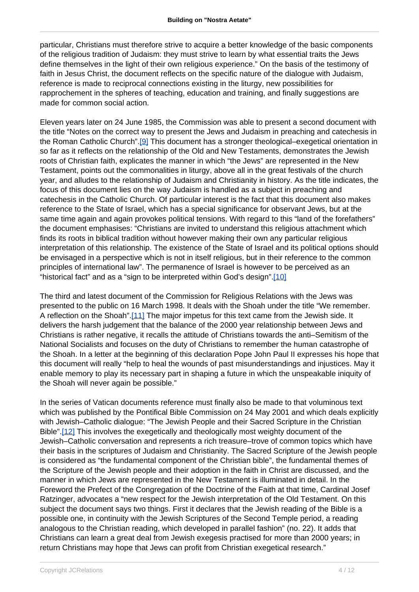particular, Christians must therefore strive to acquire a better knowledge of the basic components of the religious tradition of Judaism: they must strive to learn by what essential traits the Jews define themselves in the light of their own religious experience." On the basis of the testimony of faith in Jesus Christ, the document reflects on the specific nature of the dialogue with Judaism, reference is made to reciprocal connections existing in the liturgy, new possibilities for rapprochement in the spheres of teaching, education and training, and finally suggestions are made for common social action.

Eleven years later on 24 June 1985, the Commission was able to present a second document with the title "Notes on the correct way to present the Jews and Judaism in preaching and catechesis in the Roman Catholic Church".[9] This document has a stronger theological–exegetical orientation in so far as it reflects on the relationship of the Old and New Testaments, demonstrates the Jewish roots of Christian faith, explicates the manner in which "the Jews" are represented in the New Testament, points out the commonalities in liturgy, above all in the great festivals of the church year, and alludes to the relationship of Judaism and Christianity in history. As the title indicates, the focus of this document lies on the way Judaism is handled as a subject in preaching and catechesis in the Catholic Church. Of particular interest is the fact that this document also makes reference to the State of Israel, which has a special significance for observant Jews, but at the same time again and again provokes political tensions. With regard to this "land of the forefathers" the document emphasises: "Christians are invited to understand this religious attachment which finds its roots in biblical tradition without however making their own any particular religious interpretation of this relationship. The existence of the State of Israel and its political options should be envisaged in a perspective which is not in itself religious, but in their reference to the common principles of international law". The permanence of Israel is however to be perceived as an "historical fact" and as a "sign to be interpreted within God's design".[10]

The third and latest document of the Commission for Religious Relations with the Jews was presented to the public on 16 March 1998. It deals with the Shoah under the title "We remember. A reflection on the Shoah".[11] The major impetus for this text came from the Jewish side. It delivers the harsh judgement that the balance of the 2000 year relationship between Jews and Christians is rather negative, it recalls the attitude of Christians towards the anti–Semitism of the National Socialists and focuses on the duty of Christians to remember the human catastrophe of the Shoah. In a letter at the beginning of this declaration Pope John Paul II expresses his hope that this document will really "help to heal the wounds of past misunderstandings and injustices. May it enable memory to play its necessary part in shaping a future in which the unspeakable iniquity of the Shoah will never again be possible."

In the series of Vatican documents reference must finally also be made to that voluminous text which was published by the Pontifical Bible Commission on 24 May 2001 and which deals explicitly with Jewish–Catholic dialogue: "The Jewish People and their Sacred Scripture in the Christian Bible".[12] This involves the exegetically and theologically most weighty document of the Jewish–Catholic conversation and represents a rich treasure–trove of common topics which have their basis in the scriptures of Judaism and Christianity. The Sacred Scripture of the Jewish people is considered as "the fundamental component of the Christian bible", the fundamental themes of the Scripture of the Jewish people and their adoption in the faith in Christ are discussed, and the manner in which Jews are represented in the New Testament is illuminated in detail. In the Foreword the Prefect of the Congregation of the Doctrine of the Faith at that time, Cardinal Josef Ratzinger, advocates a "new respect for the Jewish interpretation of the Old Testament. On this subject the document says two things. First it declares that the Jewish reading of the Bible is a possible one, in continuity with the Jewish Scriptures of the Second Temple period, a reading analogous to the Christian reading, which developed in parallel fashion" (no. 22). It adds that Christians can learn a great deal from Jewish exegesis practised for more than 2000 years; in return Christians may hope that Jews can profit from Christian exegetical research."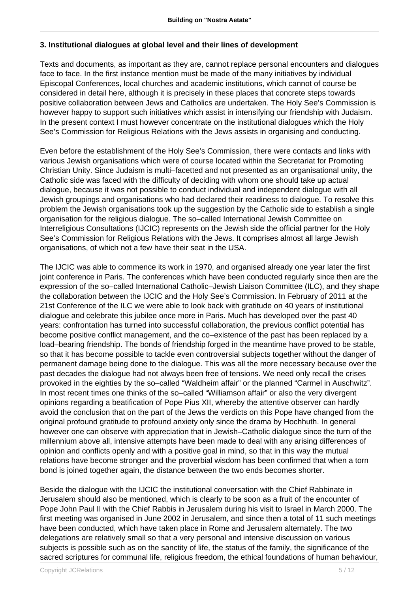#### **3. Institutional dialogues at global level and their lines of development**

Texts and documents, as important as they are, cannot replace personal encounters and dialogues face to face. In the first instance mention must be made of the many initiatives by individual Episcopal Conferences, local churches and academic institutions, which cannot of course be considered in detail here, although it is precisely in these places that concrete steps towards positive collaboration between Jews and Catholics are undertaken. The Holy See's Commission is however happy to support such initiatives which assist in intensifying our friendship with Judaism. In the present context I must however concentrate on the institutional dialogues which the Holy See's Commission for Religious Relations with the Jews assists in organising and conducting.

Even before the establishment of the Holy See's Commission, there were contacts and links with various Jewish organisations which were of course located within the Secretariat for Promoting Christian Unity. Since Judaism is multi–facetted and not presented as an organisational unity, the Catholic side was faced with the difficulty of deciding with whom one should take up actual dialogue, because it was not possible to conduct individual and independent dialogue with all Jewish groupings and organisations who had declared their readiness to dialogue. To resolve this problem the Jewish organisations took up the suggestion by the Catholic side to establish a single organisation for the religious dialogue. The so–called International Jewish Committee on Interreligious Consultations (IJCIC) represents on the Jewish side the official partner for the Holy See's Commission for Religious Relations with the Jews. It comprises almost all large Jewish organisations, of which not a few have their seat in the USA.

The IJCIC was able to commence its work in 1970, and organised already one year later the first joint conference in Paris. The conferences which have been conducted regularly since then are the expression of the so–called International Catholic–Jewish Liaison Committee (ILC), and they shape the collaboration between the IJCIC and the Holy See's Commission. In February of 2011 at the 21st Conference of the ILC we were able to look back with gratitude on 40 years of institutional dialogue and celebrate this jubilee once more in Paris. Much has developed over the past 40 years: confrontation has turned into successful collaboration, the previous conflict potential has become positive conflict management, and the co–existence of the past has been replaced by a load–bearing friendship. The bonds of friendship forged in the meantime have proved to be stable, so that it has become possible to tackle even controversial subjects together without the danger of permanent damage being done to the dialogue. This was all the more necessary because over the past decades the dialogue had not always been free of tensions. We need only recall the crises provoked in the eighties by the so–called "Waldheim affair" or the planned "Carmel in Auschwitz". In most recent times one thinks of the so–called "Williamson affair" or also the very divergent opinions regarding a beatification of Pope Pius XII, whereby the attentive observer can hardly avoid the conclusion that on the part of the Jews the verdicts on this Pope have changed from the original profound gratitude to profound anxiety only since the drama by Hochhuth. In general however one can observe with appreciation that in Jewish–Catholic dialogue since the turn of the millennium above all, intensive attempts have been made to deal with any arising differences of opinion and conflicts openly and with a positive goal in mind, so that in this way the mutual relations have become stronger and the proverbial wisdom has been confirmed that when a torn bond is joined together again, the distance between the two ends becomes shorter.

Beside the dialogue with the IJCIC the institutional conversation with the Chief Rabbinate in Jerusalem should also be mentioned, which is clearly to be soon as a fruit of the encounter of Pope John Paul II with the Chief Rabbis in Jerusalem during his visit to Israel in March 2000. The first meeting was organised in June 2002 in Jerusalem, and since then a total of 11 such meetings have been conducted, which have taken place in Rome and Jerusalem alternately. The two delegations are relatively small so that a very personal and intensive discussion on various subjects is possible such as on the sanctity of life, the status of the family, the significance of the sacred scriptures for communal life, religious freedom, the ethical foundations of human behaviour,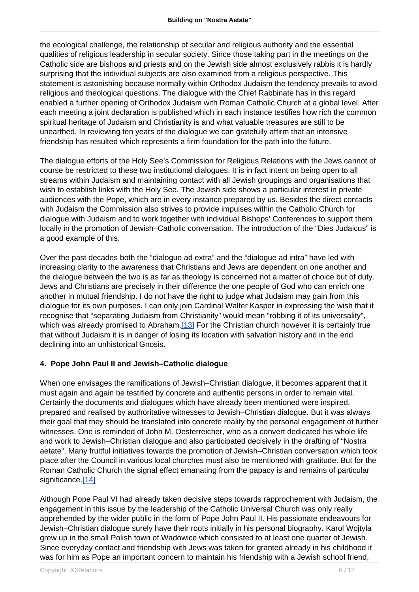the ecological challenge, the relationship of secular and religious authority and the essential qualities of religious leadership in secular society. Since those taking part in the meetings on the Catholic side are bishops and priests and on the Jewish side almost exclusively rabbis it is hardly surprising that the individual subjects are also examined from a religious perspective. This statement is astonishing because normally within Orthodox Judaism the tendency prevails to avoid religious and theological questions. The dialogue with the Chief Rabbinate has in this regard enabled a further opening of Orthodox Judaism with Roman Catholic Church at a global level. After each meeting a joint declaration is published which in each instance testifies how rich the common spiritual heritage of Judaism and Christianity is and what valuable treasures are still to be unearthed. In reviewing ten years of the dialogue we can gratefully affirm that an intensive friendship has resulted which represents a firm foundation for the path into the future.

The dialogue efforts of the Holy See's Commission for Religious Relations with the Jews cannot of course be restricted to these two institutional dialogues. It is in fact intent on being open to all streams within Judaism and maintaining contact with all Jewish groupings and organisations that wish to establish links with the Holy See. The Jewish side shows a particular interest in private audiences with the Pope, which are in every instance prepared by us. Besides the direct contacts with Judaism the Commission also strives to provide impulses within the Catholic Church for dialogue with Judaism and to work together with individual Bishops' Conferences to support them locally in the promotion of Jewish–Catholic conversation. The introduction of the "Dies Judaicus" is a good example of this.

Over the past decades both the "dialogue ad extra" and the "dialogue ad intra" have led with increasing clarity to the awareness that Christians and Jews are dependent on one another and the dialogue between the two is as far as theology is concerned not a matter of choice but of duty. Jews and Christians are precisely in their difference the one people of God who can enrich one another in mutual friendship. I do not have the right to judge what Judaism may gain from this dialogue for its own purposes. I can only join Cardinal Walter Kasper in expressing the wish that it recognise that "separating Judaism from Christianity" would mean "robbing it of its universality", which was already promised to Abraham.<sup>[13]</sup> For the Christian church however it is certainly true that without Judaism it is in danger of losing its location with salvation history and in the end declining into an unhistorical Gnosis.

#### **4. Pope John Paul II and Jewish–Catholic dialogue**

When one envisages the ramifications of Jewish–Christian dialogue, it becomes apparent that it must again and again be testified by concrete and authentic persons in order to remain vital. Certainly the documents and dialogues which have already been mentioned were inspired, prepared and realised by authoritative witnesses to Jewish–Christian dialogue. But it was always their goal that they should be translated into concrete reality by the personal engagement of further witnesses. One is reminded of John M. Oesterreicher, who as a convert dedicated his whole life and work to Jewish–Christian dialogue and also participated decisively in the drafting of "Nostra aetate". Many fruitful initiatives towards the promotion of Jewish–Christian conversation which took place after the Council in various local churches must also be mentioned with gratitude. But for the Roman Catholic Church the signal effect emanating from the papacy is and remains of particular significance [14]

Although Pope Paul VI had already taken decisive steps towards rapprochement with Judaism, the engagement in this issue by the leadership of the Catholic Universal Church was only really apprehended by the wider public in the form of Pope John Paul II. His passionate endeavours for Jewish–Christian dialogue surely have their roots initially in his personal biography. Karol Wojtyla grew up in the small Polish town of Wadowice which consisted to at least one quarter of Jewish. Since everyday contact and friendship with Jews was taken for granted already in his childhood it was for him as Pope an important concern to maintain his friendship with a Jewish school friend,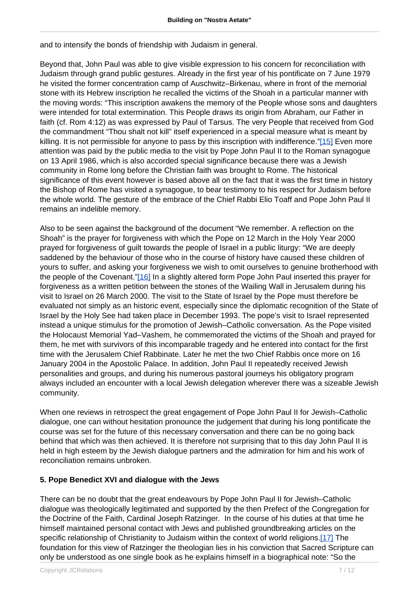and to intensify the bonds of friendship with Judaism in general.

Beyond that, John Paul was able to give visible expression to his concern for reconciliation with Judaism through grand public gestures. Already in the first year of his pontificate on 7 June 1979 he visited the former concentration camp of Auschwitz–Birkenau, where in front of the memorial stone with its Hebrew inscription he recalled the victims of the Shoah in a particular manner with the moving words: "This inscription awakens the memory of the People whose sons and daughters were intended for total extermination. This People draws its origin from Abraham, our Father in faith (cf. Rom 4:12) as was expressed by Paul of Tarsus. The very People that received from God the commandment "Thou shalt not kill" itself experienced in a special measure what is meant by killing. It is not permissible for anyone to pass by this inscription with indifference."[15] Even more attention was paid by the public media to the visit by Pope John Paul II to the Roman synagogue on 13 April 1986, which is also accorded special significance because there was a Jewish community in Rome long before the Christian faith was brought to Rome. The historical significance of this event however is based above all on the fact that it was the first time in history the Bishop of Rome has visited a synagogue, to bear testimony to his respect for Judaism before the whole world. The gesture of the embrace of the Chief Rabbi Elio Toaff and Pope John Paul II remains an indelible memory.

Also to be seen against the background of the document "We remember. A reflection on the Shoah" is the prayer for forgiveness with which the Pope on 12 March in the Holy Year 2000 prayed for forgiveness of guilt towards the people of Israel in a public liturgy: "We are deeply saddened by the behaviour of those who in the course of history have caused these children of yours to suffer, and asking your forgiveness we wish to omit ourselves to genuine brotherhood with the people of the Covenant."[16] In a slightly altered form Pope John Paul inserted this prayer for forgiveness as a written petition between the stones of the Wailing Wall in Jerusalem during his visit to Israel on 26 March 2000. The visit to the State of Israel by the Pope must therefore be evaluated not simply as an historic event, especially since the diplomatic recognition of the State of Israel by the Holy See had taken place in December 1993. The pope's visit to Israel represented instead a unique stimulus for the promotion of Jewish–Catholic conversation. As the Pope visited the Holocaust Memorial Yad–Vashem, he commemorated the victims of the Shoah and prayed for them, he met with survivors of this incomparable tragedy and he entered into contact for the first time with the Jerusalem Chief Rabbinate. Later he met the two Chief Rabbis once more on 16 January 2004 in the Apostolic Palace. In addition, John Paul II repeatedly received Jewish personalities and groups, and during his numerous pastoral journeys his obligatory program always included an encounter with a local Jewish delegation wherever there was a sizeable Jewish community.

When one reviews in retrospect the great engagement of Pope John Paul II for Jewish–Catholic dialogue, one can without hesitation pronounce the judgement that during his long pontificate the course was set for the future of this necessary conversation and there can be no going back behind that which was then achieved. It is therefore not surprising that to this day John Paul II is held in high esteem by the Jewish dialogue partners and the admiration for him and his work of reconciliation remains unbroken.

# **5. Pope Benedict XVI and dialogue with the Jews**

There can be no doubt that the great endeavours by Pope John Paul II for Jewish–Catholic dialogue was theologically legitimated and supported by the then Prefect of the Congregation for the Doctrine of the Faith, Cardinal Joseph Ratzinger. In the course of his duties at that time he himself maintained personal contact with Jews and published groundbreaking articles on the specific relationship of Christianity to Judaism within the context of world religions.[17] The foundation for this view of Ratzinger the theologian lies in his conviction that Sacred Scripture can only be understood as one single book as he explains himself in a biographical note: "So the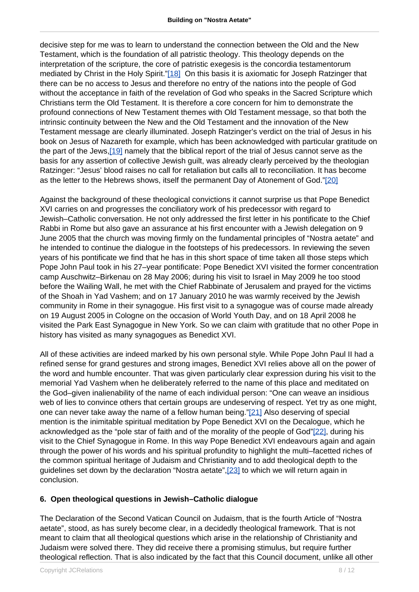decisive step for me was to learn to understand the connection between the Old and the New Testament, which is the foundation of all patristic theology. This theology depends on the interpretation of the scripture, the core of patristic exegesis is the concordia testamentorum mediated by Christ in the Holy Spirit."[18] On this basis it is axiomatic for Joseph Ratzinger that there can be no access to Jesus and therefore no entry of the nations into the people of God without the acceptance in faith of the revelation of God who speaks in the Sacred Scripture which Christians term the Old Testament. It is therefore a core concern for him to demonstrate the profound connections of New Testament themes with Old Testament message, so that both the intrinsic continuity between the New and the Old Testament and the innovation of the New Testament message are clearly illuminated. Joseph Ratzinger's verdict on the trial of Jesus in his book on Jesus of Nazareth for example, which has been acknowledged with particular gratitude on the part of the Jews,[19] namely that the biblical report of the trial of Jesus cannot serve as the basis for any assertion of collective Jewish guilt, was already clearly perceived by the theologian Ratzinger: "Jesus' blood raises no call for retaliation but calls all to reconciliation. It has become as the letter to the Hebrews shows, itself the permanent Day of Atonement of God."[20]

Against the background of these theological convictions it cannot surprise us that Pope Benedict XVI carries on and progresses the conciliatory work of his predecessor with regard to Jewish–Catholic conversation. He not only addressed the first letter in his pontificate to the Chief Rabbi in Rome but also gave an assurance at his first encounter with a Jewish delegation on 9 June 2005 that the church was moving firmly on the fundamental principles of "Nostra aetate" and he intended to continue the dialogue in the footsteps of his predecessors. In reviewing the seven years of his pontificate we find that he has in this short space of time taken all those steps which Pope John Paul took in his 27–year pontificate: Pope Benedict XVI visited the former concentration camp Auschwitz–Birkenau on 28 May 2006; during his visit to Israel in May 2009 he too stood before the Wailing Wall, he met with the Chief Rabbinate of Jerusalem and prayed for the victims of the Shoah in Yad Vashem; and on 17 January 2010 he was warmly received by the Jewish community in Rome in their synagogue. His first visit to a synagogue was of course made already on 19 August 2005 in Cologne on the occasion of World Youth Day, and on 18 April 2008 he visited the Park East Synagogue in New York. So we can claim with gratitude that no other Pope in history has visited as many synagogues as Benedict XVI.

All of these activities are indeed marked by his own personal style. While Pope John Paul II had a refined sense for grand gestures and strong images, Benedict XVI relies above all on the power of the word and humble encounter. That was given particularly clear expression during his visit to the memorial Yad Vashem when he deliberately referred to the name of this place and meditated on the God–given inalienability of the name of each individual person: "One can weave an insidious web of lies to convince others that certain groups are undeserving of respect. Yet try as one might, one can never take away the name of a fellow human being."[21] Also deserving of special mention is the inimitable spiritual meditation by Pope Benedict XVI on the Decalogue, which he acknowledged as the "pole star of faith and of the morality of the people of God"[22], during his visit to the Chief Synagogue in Rome. In this way Pope Benedict XVI endeavours again and again through the power of his words and his spiritual profundity to highlight the multi–facetted riches of the common spiritual heritage of Judaism and Christianity and to add theological depth to the guidelines set down by the declaration "Nostra aetate",<sup>[23]</sup> to which we will return again in conclusion.

# **6. Open theological questions in Jewish–Catholic dialogue**

The Declaration of the Second Vatican Council on Judaism, that is the fourth Article of "Nostra aetate", stood, as has surely become clear, in a decidedly theological framework. That is not meant to claim that all theological questions which arise in the relationship of Christianity and Judaism were solved there. They did receive there a promising stimulus, but require further theological reflection. That is also indicated by the fact that this Council document, unlike all other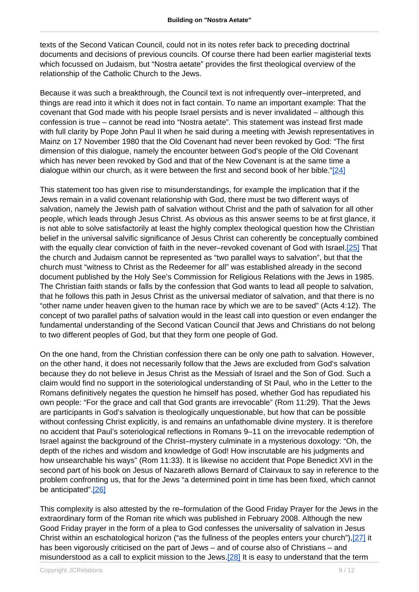texts of the Second Vatican Council, could not in its notes refer back to preceding doctrinal documents and decisions of previous councils. Of course there had been earlier magisterial texts which focussed on Judaism, but "Nostra aetate" provides the first theological overview of the relationship of the Catholic Church to the Jews.

Because it was such a breakthrough, the Council text is not infrequently over–interpreted, and things are read into it which it does not in fact contain. To name an important example: That the covenant that God made with his people Israel persists and is never invalidated – although this confession is true – cannot be read into "Nostra aetate". This statement was instead first made with full clarity by Pope John Paul II when he said during a meeting with Jewish representatives in Mainz on 17 November 1980 that the Old Covenant had never been revoked by God: "The first dimension of this dialogue, namely the encounter between God's people of the Old Covenant which has never been revoked by God and that of the New Covenant is at the same time a dialogue within our church, as it were between the first and second book of her bible."[24]

This statement too has given rise to misunderstandings, for example the implication that if the Jews remain in a valid covenant relationship with God, there must be two different ways of salvation, namely the Jewish path of salvation without Christ and the path of salvation for all other people, which leads through Jesus Christ. As obvious as this answer seems to be at first glance, it is not able to solve satisfactorily at least the highly complex theological question how the Christian belief in the universal salvific significance of Jesus Christ can coherently be conceptually combined with the equally clear conviction of faith in the never–revoked covenant of God with Israel.[25] That the church and Judaism cannot be represented as "two parallel ways to salvation", but that the church must "witness to Christ as the Redeemer for all" was established already in the second document published by the Holy See's Commission for Religious Relations with the Jews in 1985. The Christian faith stands or falls by the confession that God wants to lead all people to salvation, that he follows this path in Jesus Christ as the universal mediator of salvation, and that there is no "other name under heaven given to the human race by which we are to be saved" (Acts 4:12). The concept of two parallel paths of salvation would in the least call into question or even endanger the fundamental understanding of the Second Vatican Council that Jews and Christians do not belong to two different peoples of God, but that they form one people of God.

On the one hand, from the Christian confession there can be only one path to salvation. However, on the other hand, it does not necessarily follow that the Jews are excluded from God's salvation because they do not believe in Jesus Christ as the Messiah of Israel and the Son of God. Such a claim would find no support in the soteriological understanding of St Paul, who in the Letter to the Romans definitively negates the question he himself has posed, whether God has repudiated his own people: "For the grace and call that God grants are irrevocable" (Rom 11:29). That the Jews are participants in God's salvation is theologically unquestionable, but how that can be possible without confessing Christ explicitly, is and remains an unfathomable divine mystery. It is therefore no accident that Paul's soteriological reflections in Romans 9–11 on the irrevocable redemption of Israel against the background of the Christ–mystery culminate in a mysterious doxology: "Oh, the depth of the riches and wisdom and knowledge of God! How inscrutable are his judgments and how unsearchable his ways" (Rom 11:33). It is likewise no accident that Pope Benedict XVI in the second part of his book on Jesus of Nazareth allows Bernard of Clairvaux to say in reference to the problem confronting us, that for the Jews "a determined point in time has been fixed, which cannot be anticipated".[26]

This complexity is also attested by the re–formulation of the Good Friday Prayer for the Jews in the extraordinary form of the Roman rite which was published in February 2008. Although the new Good Friday prayer in the form of a plea to God confesses the universality of salvation in Jesus Christ within an eschatological horizon ("as the fullness of the peoples enters your church"),[27] it has been vigorously criticised on the part of Jews – and of course also of Christians – and misunderstood as a call to explicit mission to the Jews.[28] It is easy to understand that the term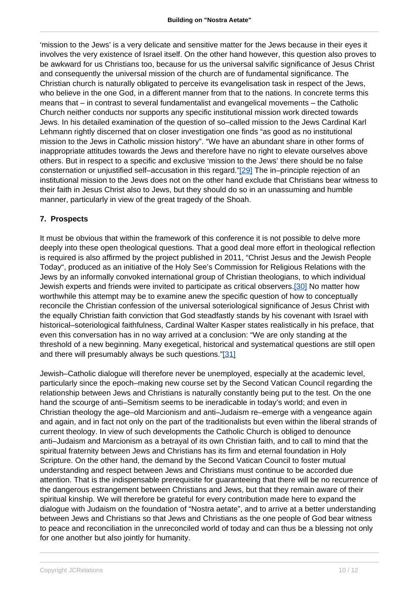'mission to the Jews' is a very delicate and sensitive matter for the Jews because in their eyes it involves the very existence of Israel itself. On the other hand however, this question also proves to be awkward for us Christians too, because for us the universal salvific significance of Jesus Christ and consequently the universal mission of the church are of fundamental significance. The Christian church is naturally obligated to perceive its evangelisation task in respect of the Jews, who believe in the one God, in a different manner from that to the nations. In concrete terms this means that – in contrast to several fundamentalist and evangelical movements – the Catholic Church neither conducts nor supports any specific institutional mission work directed towards Jews. In his detailed examination of the question of so–called mission to the Jews Cardinal Karl Lehmann rightly discerned that on closer investigation one finds "as good as no institutional mission to the Jews in Catholic mission history". "We have an abundant share in other forms of inappropriate attitudes towards the Jews and therefore have no right to elevate ourselves above others. But in respect to a specific and exclusive 'mission to the Jews' there should be no false consternation or unjustified self–accusation in this regard."[29] The in–principle rejection of an institutional mission to the Jews does not on the other hand exclude that Christians bear witness to their faith in Jesus Christ also to Jews, but they should do so in an unassuming and humble manner, particularly in view of the great tragedy of the Shoah.

#### **7. Prospects**

It must be obvious that within the framework of this conference it is not possible to delve more deeply into these open theological questions. That a good deal more effort in theological reflection is required is also affirmed by the project published in 2011, "Christ Jesus and the Jewish People Today", produced as an initiative of the Holy See's Commission for Religious Relations with the Jews by an informally convoked international group of Christian theologians, to which individual Jewish experts and friends were invited to participate as critical observers.[30] No matter how worthwhile this attempt may be to examine anew the specific question of how to conceptually reconcile the Christian confession of the universal soteriological significance of Jesus Christ with the equally Christian faith conviction that God steadfastly stands by his covenant with Israel with historical–soteriological faithfulness, Cardinal Walter Kasper states realistically in his preface, that even this conversation has in no way arrived at a conclusion: "We are only standing at the threshold of a new beginning. Many exegetical, historical and systematical questions are still open and there will presumably always be such questions."[31]

Jewish–Catholic dialogue will therefore never be unemployed, especially at the academic level, particularly since the epoch–making new course set by the Second Vatican Council regarding the relationship between Jews and Christians is naturally constantly being put to the test. On the one hand the scourge of anti–Semitism seems to be ineradicable in today's world; and even in Christian theology the age–old Marcionism and anti–Judaism re–emerge with a vengeance again and again, and in fact not only on the part of the traditionalists but even within the liberal strands of current theology. In view of such developments the Catholic Church is obliged to denounce anti–Judaism and Marcionism as a betrayal of its own Christian faith, and to call to mind that the spiritual fraternity between Jews and Christians has its firm and eternal foundation in Holy Scripture. On the other hand, the demand by the Second Vatican Council to foster mutual understanding and respect between Jews and Christians must continue to be accorded due attention. That is the indispensable prerequisite for guaranteeing that there will be no recurrence of the dangerous estrangement between Christians and Jews, but that they remain aware of their spiritual kinship. We will therefore be grateful for every contribution made here to expand the dialogue with Judaism on the foundation of "Nostra aetate", and to arrive at a better understanding between Jews and Christians so that Jews and Christians as the one people of God bear witness to peace and reconciliation in the unreconciled world of today and can thus be a blessing not only for one another but also jointly for humanity.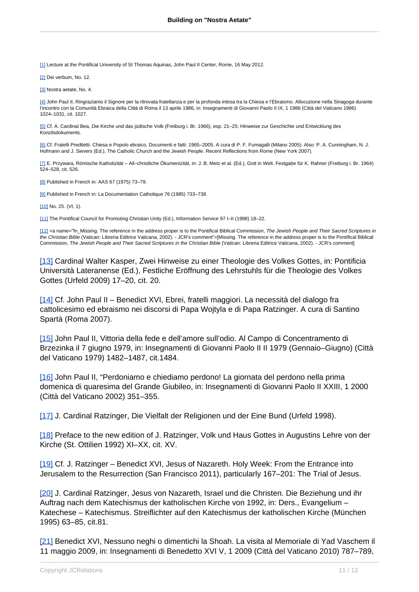[1] Lecture at the Pontifical University of St Thomas Aquinas, John Paul II Center, Rome, 16 May 2012.

[2] Dei verbum, No. 12.

[3] Nostra aetate, No. 4.

[4] John Paul II, Ringraziamo il Signore per la ritrovata fratellanza e per la profonda intesa tra la Chiesa e l'Ebraismo. Allocuzione nella Sinagoga durante l'incontro con la Comunità Ebraica della Città di Roma il 13 aprile 1986, in: Insegnamenti di Giovanni Paolo II IX, 1 1986 (Città del Vaticano 1986) 1024–1031, cit. 1027.

[5] Cf. A. Cardinal Bea, Die Kirche und das jüdische Volk (Freiburg i. Br. 1966), esp. 21–25: Hinweise zur Geschichte und Entwicklung des Konzilsdokuments.

[6] Cf. Fratelli Prediletti. Chiesa e Popolo ebraico. Documenti e fatti: 1965–2005. A cura di P. F. Fumagalli (Milano 2005). Also: P. A. Cunningham, N. J. Hofmann and J. Sievers (Ed.), The Catholic Church and the Jewish People. Recent Reflections from Rome (New York 2007).

[7] E. Przywara, Römische Katholizität – All–christliche Ökumenizität, in: J. B. Metz et al. (Ed.), Gott in Welt. Festgabe für K. Rahner (Freiburg i. Br. 1964) 524–528, cit. 526.

[8] Published in French in: AAS 67 (1975) 73-79.

[9] Published in French in: La Documentation Catholique 76 (1985) 733-738.

[10] No. 25. (VI, 1).

[11] The Pontifical Council for Promoting Christian Unity (Ed.), Information Service 97 I–II (1998) 18–22.

[12] <a name="fn\_Missing. The reference in the address proper is to the Pontifical Biblical Commission, The Jewish People and Their Sacred Scriptures in the Christian Bible (Vatican: Libreria Editrice Vaticana, 2002). - JCR's comment">[Missing. The reference in the address proper is to the Pontifical Biblical Commission, The Jewish People and Their Sacred Scriptures in the Christian Bible (Vatican: Libreria Editrice Vaticana, 2002). - JCR's comment]

[13] Cardinal Walter Kasper, Zwei Hinweise zu einer Theologie des Volkes Gottes, in: Pontificia Università Lateranense (Ed.), Festliche Eröffnung des Lehrstuhls für die Theologie des Volkes Gottes (Urfeld 2009) 17–20, cit. 20.

[14] Cf. John Paul II – Benedict XVI, Ebrei, fratelli maggiori. La necessità del dialogo fra cattolicesimo ed ebraismo nei discorsi di Papa Wojtyla e di Papa Ratzinger. A cura di Santino Spartà (Roma 2007).

[15] John Paul II, Vittoria della fede e dell'amore sull'odio. Al Campo di Concentramento di Brzezinka il 7 giugno 1979, in: Insegnamenti di Giovanni Paolo II II 1979 (Gennaio–Giugno) (Città del Vaticano 1979) 1482–1487, cit.1484.

[16] John Paul II, "Perdoniamo e chiediamo perdono! La giornata del perdono nella prima domenica di quaresima del Grande Giubileo, in: Insegnamenti di Giovanni Paolo II XXIII, 1 2000 (Città del Vaticano 2002) 351–355.

[17] J. Cardinal Ratzinger, Die Vielfalt der Religionen und der Eine Bund (Urfeld 1998).

[18] Preface to the new edition of J. Ratzinger, Volk und Haus Gottes in Augustins Lehre von der Kirche (St. Ottilien 1992) XI–XX, cit. XV.

[19] Cf. J. Ratzinger – Benedict XVI, Jesus of Nazareth. Holy Week: From the Entrance into Jerusalem to the Resurrection (San Francisco 2011), particularly 167–201: The Trial of Jesus.

[20] J. Cardinal Ratzinger, Jesus von Nazareth, Israel und die Christen. Die Beziehung und ihr Auftrag nach dem Katechismus der katholischen Kirche von 1992, in: Ders., Evangelium – Katechese – Katechismus. Streiflichter auf den Katechismus der katholischen Kirche (München 1995) 63–85, cit.81.

[21] Benedict XVI, Nessuno neghi o dimentichi la Shoah. La visita al Memoriale di Yad Vaschem il 11 maggio 2009, in: Insegnamenti di Benedetto XVI V, 1 2009 (Città del Vaticano 2010) 787–789,